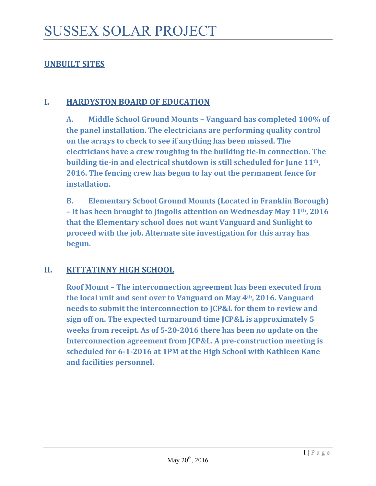## **UNBUILT SITES**

#### **I. HARDYSTON BOARD OF EDUCATION**

**A. Middle School Ground Mounts – Vanguard has completed 100% of the panel installation. The electricians are performing quality control on the arrays to check to see if anything has been missed. The electricians have a crew roughing in the building tie‐in connection. The building tie‐in and electrical shutdown is still scheduled for June 11th, 2016. The fencing crew has begun to lay out the permanent fence for installation.** 

**B. Elementary School Ground Mounts (Located in Franklin Borough) – It has been brought to Jingolis attention on Wednesday May 11th, 2016 that the Elementary school does not want Vanguard and Sunlight to proceed with the job. Alternate site investigation for this array has begun.** 

### **II. KITTATINNY HIGH SCHOOL**

**Roof Mount – The interconnection agreement has been executed from the local unit and sent over to Vanguard on May 4th, 2016. Vanguard needs to submit the interconnection to JCP&L for them to review and sign off on. The expected turnaround time JCP&L is approximately 5 weeks from receipt. As of 5‐20‐2016 there has been no update on the Interconnection agreement from JCP&L. A pre‐construction meeting is scheduled for 6‐1‐2016 at 1PM at the High School with Kathleen Kane and facilities personnel.**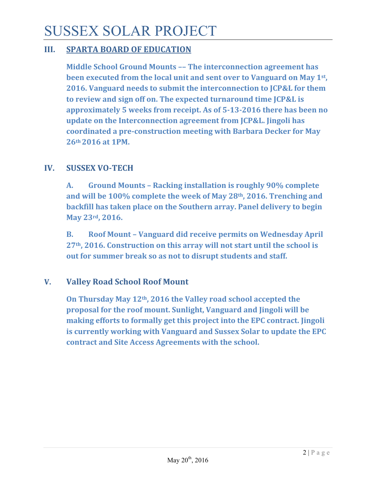## SUSSEX SOLAR PROJECT

#### **III. SPARTA BOARD OF EDUCATION**

**Middle School Ground Mounts –– The interconnection agreement has been executed from the local unit and sent over to Vanguard on May 1st, 2016. Vanguard needs to submit the interconnection to JCP&L for them to review and sign off on. The expected turnaround time JCP&L is approximately 5 weeks from receipt. As of 5‐13‐2016 there has been no update on the Interconnection agreement from JCP&L. Jingoli has coordinated a pre‐construction meeting with Barbara Decker for May 26th 2016 at 1PM.**

#### **IV. SUSSEX VO‐TECH**

**A. Ground Mounts – Racking installation is roughly 90% complete and will be 100% complete the week of May 28th, 2016. Trenching and backfill has taken place on the Southern array. Panel delivery to begin May 23rd, 2016.** 

**B. Roof Mount – Vanguard did receive permits on Wednesday April 27th, 2016. Construction on this array will not start until the school is out for summer break so as not to disrupt students and staff.**

#### **V. Valley Road School Roof Mount**

**On Thursday May 12th, 2016 the Valley road school accepted the proposal for the roof mount. Sunlight, Vanguard and Jingoli will be making efforts to formally get this project into the EPC contract. Jingoli is currently working with Vanguard and Sussex Solar to update the EPC contract and Site Access Agreements with the school.**